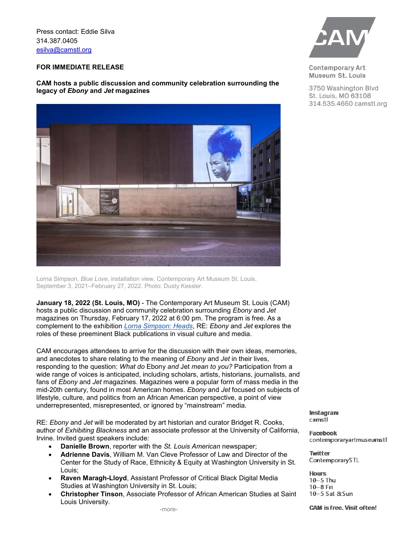Press contact: Eddie Silva 314.387.0405 [esilva@camstl.org](mailto:esilva@camstl.org)

## **FOR IMMEDIATE RELEASE**

## **CAM hosts a public discussion and community celebration surrounding the legacy of** *Ebony* **and** *Jet* **magazines**



Lorna Simpson, *Blue Love*, installation view, Contemporary Art Museum St. Louis, September 3, 2021–February 27, 2022. Photo: Dusty Kessler.

**January 18, 2022 (St. Louis, MO)** - The Contemporary Art Museum St. Louis (CAM) hosts a public discussion and community celebration surrounding *Ebony* and *Jet* magazines on Thursday, February 17, 2022 at 6:00 pm. The program is free. As a complement to the exhibition *[Lorna Simpson: Heads](https://camstl.org/exhibitions/lorna-simpson/)*, RE: *Ebony* and *Jet* explores the roles of these preeminent Black publications in visual culture and media.

CAM encourages attendees to arrive for the discussion with their own ideas, memories, and anecdotes to share relating to the meaning of *Ebony* and *Jet* in their lives, responding to the question: *What do* Ebony *and* Jet *mean to you?* Participation from a wide range of voices is anticipated, including scholars, artists, historians, journalists, and fans of *Ebony* and *Jet* magazines. Magazines were a popular form of mass media in the mid-20th century, found in most American homes. *Ebony* and *Jet* focused on subjects of lifestyle, culture, and politics from an African American perspective, a point of view underrepresented, misrepresented, or ignored by "mainstream" media.

RE: *Ebony* and *Jet* will be moderated by art historian and curator Bridget R. Cooks, author of *Exhibiting Blackness* and an associate professor at the University of California, Irvine. Invited guest speakers include:

- **Danielle Brown**, reporter with the *St. Louis American* newspaper;
- **Adrienne Davis**, William M. Van Cleve Professor of Law and Director of the Center for the Study of Race, Ethnicity & Equity at Washington University in St. Louis;
- **Raven Maragh-Lloyd**, Assistant Professor of Critical Black Digital Media Studies at Washington University in St. Louis;
- **Christopher Tinson**, Associate Professor of African American Studies at Saint Louis University.



**Contemporary Art** Museum St. Louis

3750 Washington Blvd St. Louis, MO 63108 314.535.4660 camstl.org

Instagram camstl

Facebook contemporaryartmuseumstl

**Twitter** ContemporarySTL

**Hours**  $10-5$  Thu  $10 - 8$  Fri 10-5 Sat &Sun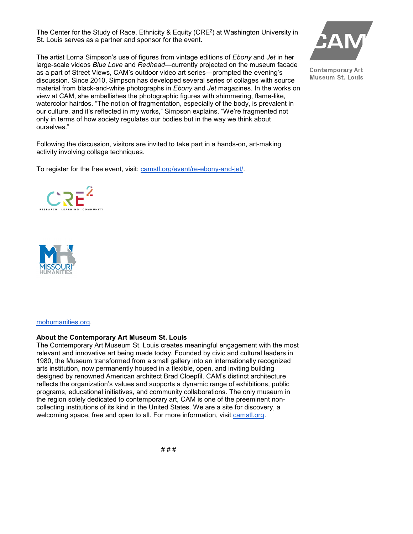The Center for the Study of Race, Ethnicity & Equity (CRE2) at Washington University in St. Louis serves as a partner and sponsor for the event.

The artist Lorna Simpson's use of figures from vintage editions of *Ebony* and *Jet* in her large-scale videos *Blue Love* and *Redhead*—currently projected on the museum facade as a part of Street Views, CAM's outdoor video art series—prompted the evening's discussion. Since 2010, Simpson has developed several series of collages with source material from black-and-white photographs in *Ebony* and *Jet* magazines. In the works on view at CAM, she embellishes the photographic figures with shimmering, flame-like, watercolor hairdos. "The notion of fragmentation, especially of the body, is prevalent in our culture, and it's reflected in my works," Simpson explains. "We're fragmented not only in terms of how society regulates our bodies but in the way we think about ourselves."

Following the discussion, visitors are invited to take part in a hands-on, art-making activity involving collage techniques.

To register for the free event, visit: [camstl.org/event/re-ebony-and-jet/.](https://camstl.org/event/re-ebony-and-jet/)



**Contemporary Art** Museum St. Louis





[mohumanities.org.](https://mohumanities.org/)

## **About the Contemporary Art Museum St. Louis**

The Contemporary Art Museum St. Louis creates meaningful engagement with the most relevant and innovative art being made today. Founded by civic and cultural leaders in 1980, the Museum transformed from a small gallery into an internationally recognized arts institution, now permanently housed in a flexible, open, and inviting building designed by renowned American architect Brad Cloepfil. CAM's distinct architecture reflects the organization's values and supports a dynamic range of exhibitions, public programs, educational initiatives, and community collaborations. The only museum in the region solely dedicated to contemporary art, CAM is one of the preeminent noncollecting institutions of its kind in the United States. We are a site for discovery, a welcoming space, free and open to all. For more information, visit [camstl.org.](https://camstl.org/)